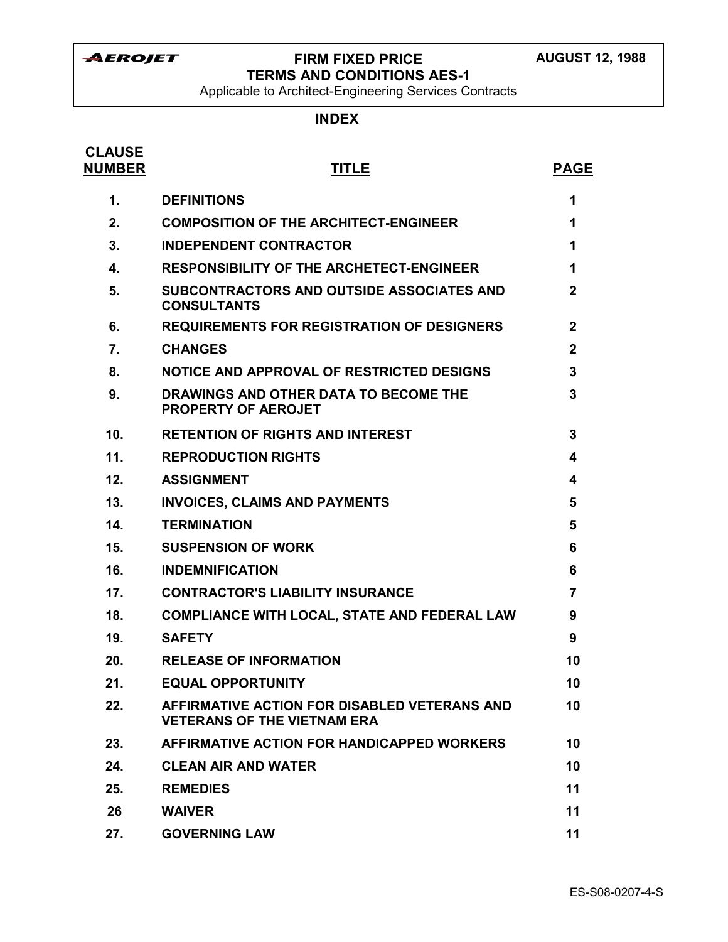# **FIRM FIXED PRICE TERMS AND CONDITIONS AES-1**

Applicable to Architect-Engineering Services Contracts

# **INDEX**

| <b>CLAUSE</b><br><b>NUMBER</b> | <b>TITLE</b>                                                                       | <b>PAGE</b>  |
|--------------------------------|------------------------------------------------------------------------------------|--------------|
| $\mathbf 1$ .                  | <b>DEFINITIONS</b>                                                                 | 1            |
| 2.                             | <b>COMPOSITION OF THE ARCHITECT-ENGINEER</b>                                       | 1            |
| 3.                             | <b>INDEPENDENT CONTRACTOR</b>                                                      | 1            |
| 4.                             | <b>RESPONSIBILITY OF THE ARCHETECT-ENGINEER</b>                                    | 1            |
| 5.                             | SUBCONTRACTORS AND OUTSIDE ASSOCIATES AND<br><b>CONSULTANTS</b>                    | $\mathbf{2}$ |
| 6.                             | <b>REQUIREMENTS FOR REGISTRATION OF DESIGNERS</b>                                  | $\mathbf{2}$ |
| 7.                             | <b>CHANGES</b>                                                                     | $\mathbf{2}$ |
| 8.                             | NOTICE AND APPROVAL OF RESTRICTED DESIGNS                                          | 3            |
| 9.                             | DRAWINGS AND OTHER DATA TO BECOME THE<br><b>PROPERTY OF AEROJET</b>                | 3            |
| 10.                            | <b>RETENTION OF RIGHTS AND INTEREST</b>                                            | 3            |
| 11.                            | <b>REPRODUCTION RIGHTS</b>                                                         | 4            |
| 12.                            | <b>ASSIGNMENT</b>                                                                  | 4            |
| 13.                            | <b>INVOICES, CLAIMS AND PAYMENTS</b>                                               | 5            |
| 14.                            | <b>TERMINATION</b>                                                                 | 5            |
| 15.                            | <b>SUSPENSION OF WORK</b>                                                          | 6            |
| 16.                            | <b>INDEMNIFICATION</b>                                                             | 6            |
| 17.                            | <b>CONTRACTOR'S LIABILITY INSURANCE</b>                                            | 7            |
| 18.                            | <b>COMPLIANCE WITH LOCAL, STATE AND FEDERAL LAW</b>                                | 9            |
| 19.                            | <b>SAFETY</b>                                                                      | 9            |
| 20.                            | <b>RELEASE OF INFORMATION</b>                                                      | 10           |
| 21.                            | <b>EQUAL OPPORTUNITY</b>                                                           | 10           |
| 22.                            | AFFIRMATIVE ACTION FOR DISABLED VETERANS AND<br><b>VETERANS OF THE VIETNAM ERA</b> | 10           |
| 23.                            | AFFIRMATIVE ACTION FOR HANDICAPPED WORKERS                                         | 10           |
| 24.                            | <b>CLEAN AIR AND WATER</b>                                                         | 10           |
| 25.                            | <b>REMEDIES</b>                                                                    | 11           |
| 26                             | <b>WAIVER</b>                                                                      | 11           |
| 27.                            | <b>GOVERNING LAW</b>                                                               | 11           |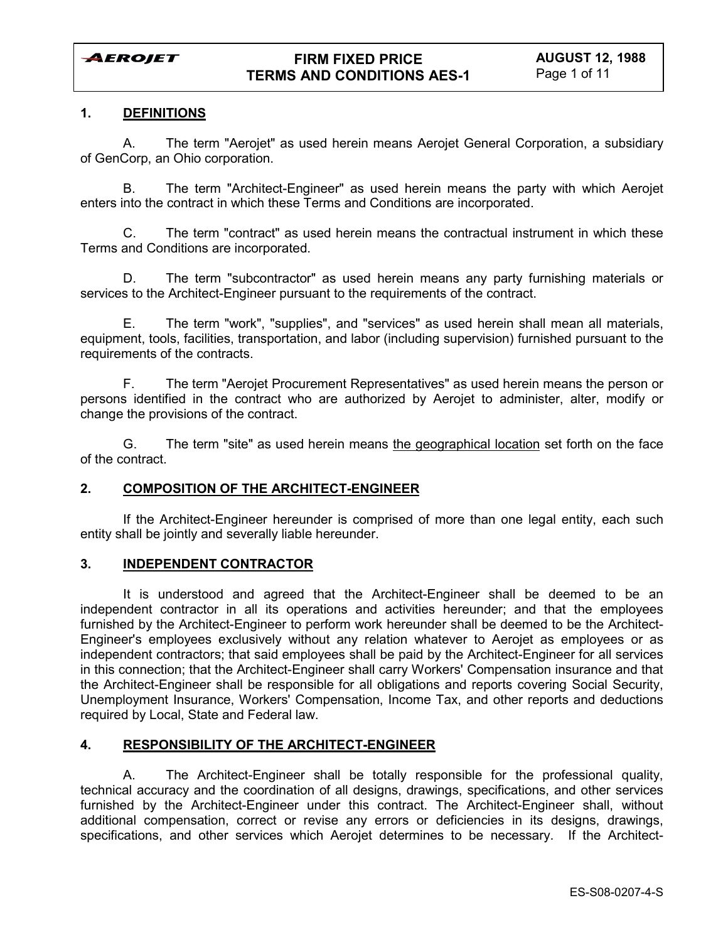## **1. DEFINITIONS**

A. The term "Aerojet" as used herein means Aerojet General Corporation, a subsidiary of GenCorp, an Ohio corporation.

B. The term "Architect-Engineer" as used herein means the party with which Aerojet enters into the contract in which these Terms and Conditions are incorporated.

C. The term "contract" as used herein means the contractual instrument in which these Terms and Conditions are incorporated.

D. The term "subcontractor" as used herein means any party furnishing materials or services to the Architect-Engineer pursuant to the requirements of the contract.

E. The term "work", "supplies", and "services" as used herein shall mean all materials, equipment, tools, facilities, transportation, and labor (including supervision) furnished pursuant to the requirements of the contracts.

F. The term "Aerojet Procurement Representatives" as used herein means the person or persons identified in the contract who are authorized by Aerojet to administer, alter, modify or change the provisions of the contract.

G. The term "site" as used herein means the geographical location set forth on the face of the contract.

## **2. COMPOSITION OF THE ARCHITECT-ENGINEER**

If the Architect-Engineer hereunder is comprised of more than one legal entity, each such entity shall be jointly and severally liable hereunder.

## **3. INDEPENDENT CONTRACTOR**

It is understood and agreed that the Architect-Engineer shall be deemed to be an independent contractor in all its operations and activities hereunder; and that the employees furnished by the Architect-Engineer to perform work hereunder shall be deemed to be the Architect-Engineer's employees exclusively without any relation whatever to Aerojet as employees or as independent contractors; that said employees shall be paid by the Architect-Engineer for all services in this connection; that the Architect-Engineer shall carry Workers' Compensation insurance and that the Architect-Engineer shall be responsible for all obligations and reports covering Social Security, Unemployment Insurance, Workers' Compensation, Income Tax, and other reports and deductions required by Local, State and Federal law.

#### **4. RESPONSIBILITY OF THE ARCHITECT-ENGINEER**

A. The Architect-Engineer shall be totally responsible for the professional quality, technical accuracy and the coordination of all designs, drawings, specifications, and other services furnished by the Architect-Engineer under this contract. The Architect-Engineer shall, without additional compensation, correct or revise any errors or deficiencies in its designs, drawings, specifications, and other services which Aerojet determines to be necessary. If the Architect-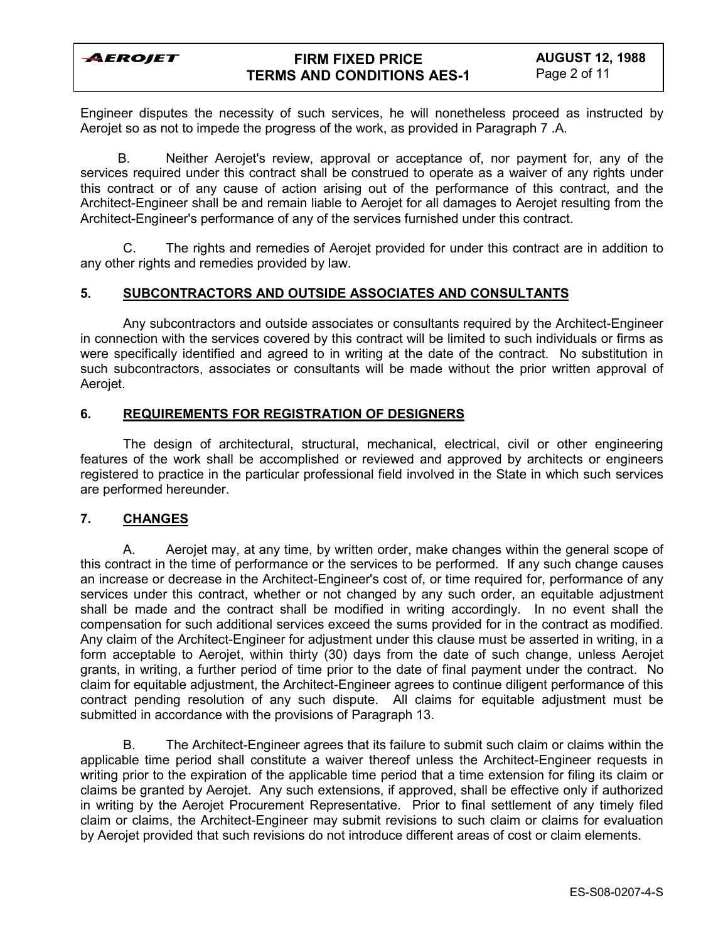## **FIRM FIXED PRICE TERMS AND CONDITIONS AES-1**

Engineer disputes the necessity of such services, he will nonetheless proceed as instructed by Aerojet so as not to impede the progress of the work, as provided in Paragraph 7 .A.

B. Neither Aerojet's review, approval or acceptance of, nor payment for, any of the services required under this contract shall be construed to operate as a waiver of any rights under this contract or of any cause of action arising out of the performance of this contract, and the Architect-Engineer shall be and remain liable to Aerojet for all damages to Aerojet resulting from the Architect-Engineer's performance of any of the services furnished under this contract.

C. The rights and remedies of Aerojet provided for under this contract are in addition to any other rights and remedies provided by law.

## **5. SUBCONTRACTORS AND OUTSIDE ASSOCIATES AND CONSULTANTS**

Any subcontractors and outside associates or consultants required by the Architect-Engineer in connection with the services covered by this contract will be limited to such individuals or firms as were specifically identified and agreed to in writing at the date of the contract. No substitution in such subcontractors, associates or consultants will be made without the prior written approval of Aerojet.

## **6. REQUIREMENTS FOR REGISTRATION OF DESIGNERS**

The design of architectural, structural, mechanical, electrical, civil or other engineering features of the work shall be accomplished or reviewed and approved by architects or engineers registered to practice in the particular professional field involved in the State in which such services are performed hereunder.

## **7. CHANGES**

A. Aerojet may, at any time, by written order, make changes within the general scope of this contract in the time of performance or the services to be performed. If any such change causes an increase or decrease in the Architect-Engineer's cost of, or time required for, performance of any services under this contract, whether or not changed by any such order, an equitable adjustment shall be made and the contract shall be modified in writing accordingly. In no event shall the compensation for such additional services exceed the sums provided for in the contract as modified. Any claim of the Architect-Engineer for adjustment under this clause must be asserted in writing, in a form acceptable to Aerojet, within thirty (30) days from the date of such change, unless Aerojet grants, in writing, a further period of time prior to the date of final payment under the contract. No claim for equitable adjustment, the Architect-Engineer agrees to continue diligent performance of this contract pending resolution of any such dispute. All claims for equitable adjustment must be submitted in accordance with the provisions of Paragraph 13.

B. The Architect-Engineer agrees that its failure to submit such claim or claims within the applicable time period shall constitute a waiver thereof unless the Architect-Engineer requests in writing prior to the expiration of the applicable time period that a time extension for filing its claim or claims be granted by Aerojet. Any such extensions, if approved, shall be effective only if authorized in writing by the Aerojet Procurement Representative. Prior to final settlement of any timely filed claim or claims, the Architect-Engineer may submit revisions to such claim or claims for evaluation by Aerojet provided that such revisions do not introduce different areas of cost or claim elements.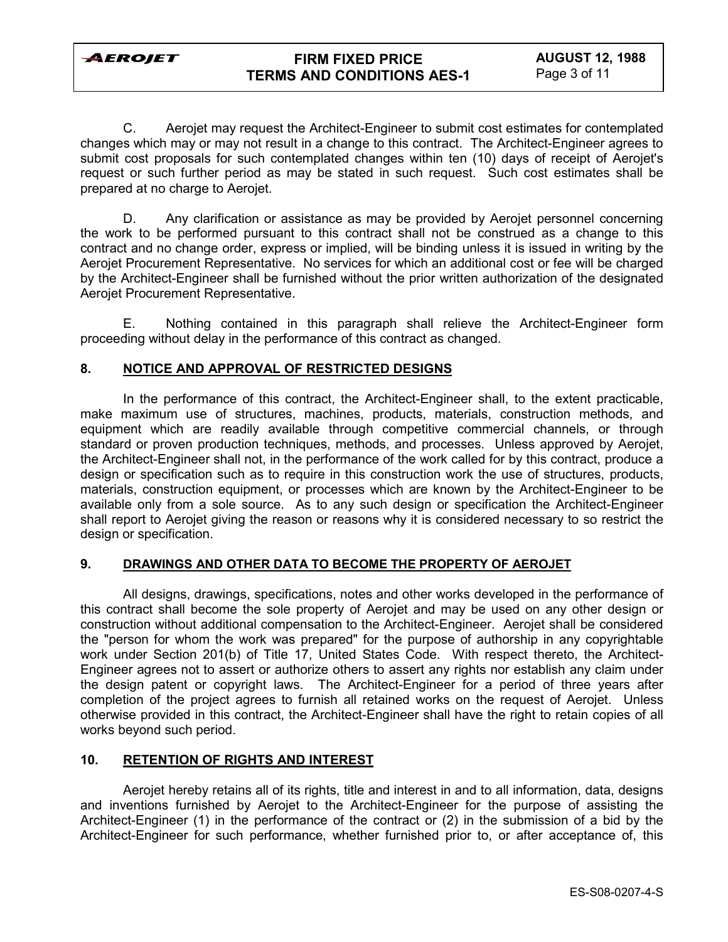## **FIRM FIXED PRICE TERMS AND CONDITIONS AES-1**

C. Aerojet may request the Architect-Engineer to submit cost estimates for contemplated changes which may or may not result in a change to this contract. The Architect-Engineer agrees to submit cost proposals for such contemplated changes within ten (10) days of receipt of Aerojet's request or such further period as may be stated in such request. Such cost estimates shall be prepared at no charge to Aerojet.

D. Any clarification or assistance as may be provided by Aerojet personnel concerning the work to be performed pursuant to this contract shall not be construed as a change to this contract and no change order, express or implied, will be binding unless it is issued in writing by the Aerojet Procurement Representative. No services for which an additional cost or fee will be charged by the Architect-Engineer shall be furnished without the prior written authorization of the designated Aerojet Procurement Representative.

E. Nothing contained in this paragraph shall relieve the Architect-Engineer form proceeding without delay in the performance of this contract as changed.

## **8. NOTICE AND APPROVAL OF RESTRICTED DESIGNS**

In the performance of this contract, the Architect-Engineer shall, to the extent practicable, make maximum use of structures, machines, products, materials, construction methods, and equipment which are readily available through competitive commercial channels, or through standard or proven production techniques, methods, and processes. Unless approved by Aerojet, the Architect-Engineer shall not, in the performance of the work called for by this contract, produce a design or specification such as to require in this construction work the use of structures, products, materials, construction equipment, or processes which are known by the Architect-Engineer to be available only from a sole source. As to any such design or specification the Architect-Engineer shall report to Aerojet giving the reason or reasons why it is considered necessary to so restrict the design or specification.

## **9. DRAWINGS AND OTHER DATA TO BECOME THE PROPERTY OF AEROJET**

All designs, drawings, specifications, notes and other works developed in the performance of this contract shall become the sole property of Aerojet and may be used on any other design or construction without additional compensation to the Architect-Engineer. Aerojet shall be considered the "person for whom the work was prepared" for the purpose of authorship in any copyrightable work under Section 201(b) of Title 17, United States Code. With respect thereto, the Architect-Engineer agrees not to assert or authorize others to assert any rights nor establish any claim under the design patent or copyright laws. The Architect-Engineer for a period of three years after completion of the project agrees to furnish all retained works on the request of Aerojet. Unless otherwise provided in this contract, the Architect-Engineer shall have the right to retain copies of all works beyond such period.

## **10. RETENTION OF RIGHTS AND INTEREST**

Aerojet hereby retains all of its rights, title and interest in and to all information, data, designs and inventions furnished by Aerojet to the Architect-Engineer for the purpose of assisting the Architect-Engineer (1) in the performance of the contract or (2) in the submission of a bid by the Architect-Engineer for such performance, whether furnished prior to, or after acceptance of, this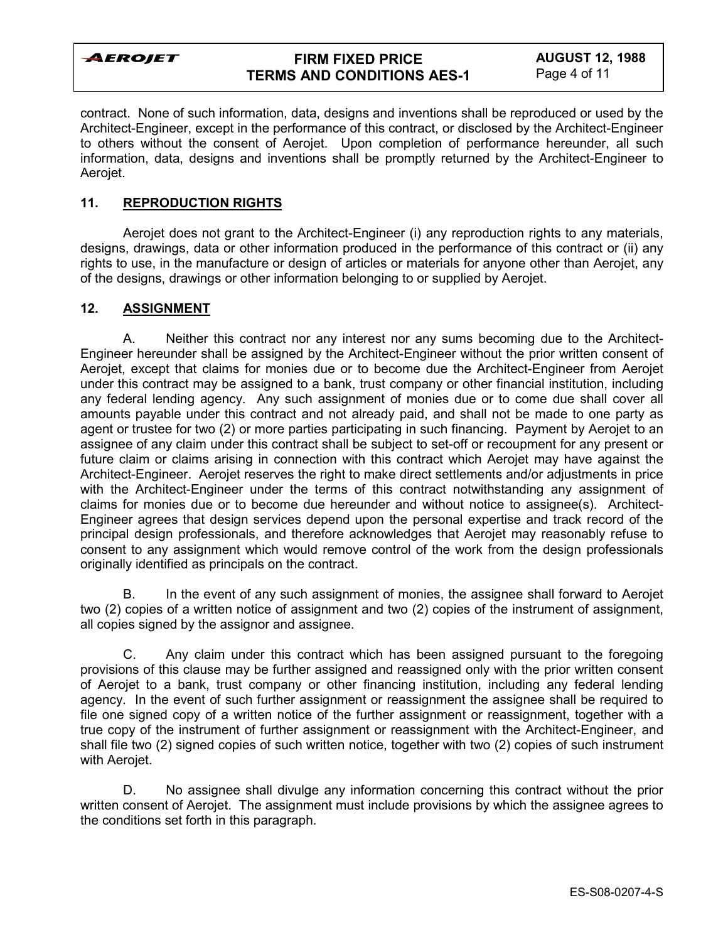## **FIRM FIXED PRICE TERMS AND CONDITIONS AES-1**

contract. None of such information, data, designs and inventions shall be reproduced or used by the Architect-Engineer, except in the performance of this contract, or disclosed by the Architect-Engineer to others without the consent of Aerojet. Upon completion of performance hereunder, all such information, data, designs and inventions shall be promptly returned by the Architect-Engineer to Aerojet.

### **11. REPRODUCTION RIGHTS**

Aerojet does not grant to the Architect-Engineer (i) any reproduction rights to any materials, designs, drawings, data or other information produced in the performance of this contract or (ii) any rights to use, in the manufacture or design of articles or materials for anyone other than Aerojet, any of the designs, drawings or other information belonging to or supplied by Aerojet.

### **12. ASSIGNMENT**

A. Neither this contract nor any interest nor any sums becoming due to the Architect-Engineer hereunder shall be assigned by the Architect-Engineer without the prior written consent of Aerojet, except that claims for monies due or to become due the Architect-Engineer from Aerojet under this contract may be assigned to a bank, trust company or other financial institution, including any federal lending agency. Any such assignment of monies due or to come due shall cover all amounts payable under this contract and not already paid, and shall not be made to one party as agent or trustee for two (2) or more parties participating in such financing. Payment by Aerojet to an assignee of any claim under this contract shall be subject to set-off or recoupment for any present or future claim or claims arising in connection with this contract which Aerojet may have against the Architect-Engineer. Aerojet reserves the right to make direct settlements and/or adjustments in price with the Architect-Engineer under the terms of this contract notwithstanding any assignment of claims for monies due or to become due hereunder and without notice to assignee(s). Architect-Engineer agrees that design services depend upon the personal expertise and track record of the principal design professionals, and therefore acknowledges that Aerojet may reasonably refuse to consent to any assignment which would remove control of the work from the design professionals originally identified as principals on the contract.

B. In the event of any such assignment of monies, the assignee shall forward to Aerojet two (2) copies of a written notice of assignment and two (2) copies of the instrument of assignment, all copies signed by the assignor and assignee.

C. Any claim under this contract which has been assigned pursuant to the foregoing provisions of this clause may be further assigned and reassigned only with the prior written consent of Aerojet to a bank, trust company or other financing institution, including any federal lending agency. In the event of such further assignment or reassignment the assignee shall be required to file one signed copy of a written notice of the further assignment or reassignment, together with a true copy of the instrument of further assignment or reassignment with the Architect-Engineer, and shall file two (2) signed copies of such written notice, together with two (2) copies of such instrument with Aerojet.

D. No assignee shall divulge any information concerning this contract without the prior written consent of Aerojet. The assignment must include provisions by which the assignee agrees to the conditions set forth in this paragraph.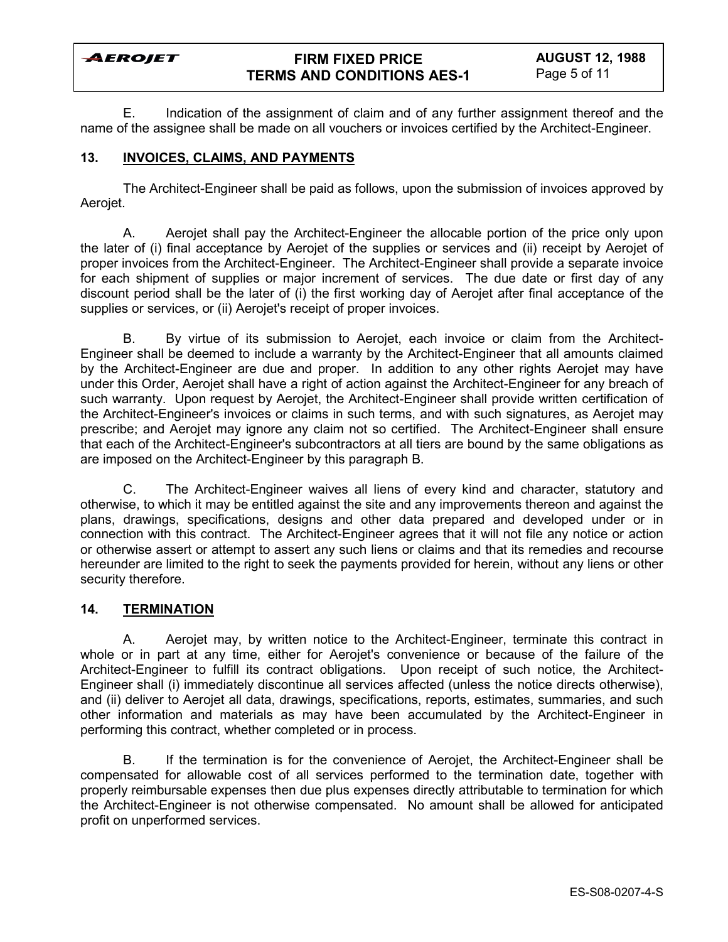## **FIRM FIXED PRICE TERMS AND CONDITIONS AES-1**

E. Indication of the assignment of claim and of any further assignment thereof and the name of the assignee shall be made on all vouchers or invoices certified by the Architect-Engineer.

### **13. INVOICES, CLAIMS, AND PAYMENTS**

The Architect-Engineer shall be paid as follows, upon the submission of invoices approved by Aerojet.

A. Aerojet shall pay the Architect-Engineer the allocable portion of the price only upon the later of (i) final acceptance by Aerojet of the supplies or services and (ii) receipt by Aerojet of proper invoices from the Architect-Engineer. The Architect-Engineer shall provide a separate invoice for each shipment of supplies or major increment of services. The due date or first day of any discount period shall be the later of (i) the first working day of Aerojet after final acceptance of the supplies or services, or (ii) Aerojet's receipt of proper invoices.

B. By virtue of its submission to Aerojet, each invoice or claim from the Architect-Engineer shall be deemed to include a warranty by the Architect-Engineer that all amounts claimed by the Architect-Engineer are due and proper. In addition to any other rights Aerojet may have under this Order, Aerojet shall have a right of action against the Architect-Engineer for any breach of such warranty. Upon request by Aerojet, the Architect-Engineer shall provide written certification of the Architect-Engineer's invoices or claims in such terms, and with such signatures, as Aerojet may prescribe; and Aerojet may ignore any claim not so certified. The Architect-Engineer shall ensure that each of the Architect-Engineer's subcontractors at all tiers are bound by the same obligations as are imposed on the Architect-Engineer by this paragraph B.

C. The Architect-Engineer waives all liens of every kind and character, statutory and otherwise, to which it may be entitled against the site and any improvements thereon and against the plans, drawings, specifications, designs and other data prepared and developed under or in connection with this contract. The Architect-Engineer agrees that it will not file any notice or action or otherwise assert or attempt to assert any such liens or claims and that its remedies and recourse hereunder are limited to the right to seek the payments provided for herein, without any liens or other security therefore.

### **14. TERMINATION**

A. Aerojet may, by written notice to the Architect-Engineer, terminate this contract in whole or in part at any time, either for Aerojet's convenience or because of the failure of the Architect-Engineer to fulfill its contract obligations. Upon receipt of such notice, the Architect-Engineer shall (i) immediately discontinue all services affected (unless the notice directs otherwise), and (ii) deliver to Aerojet all data, drawings, specifications, reports, estimates, summaries, and such other information and materials as may have been accumulated by the Architect-Engineer in performing this contract, whether completed or in process.

B. If the termination is for the convenience of Aerojet, the Architect-Engineer shall be compensated for allowable cost of all services performed to the termination date, together with properly reimbursable expenses then due plus expenses directly attributable to termination for which the Architect-Engineer is not otherwise compensated. No amount shall be allowed for anticipated profit on unperformed services.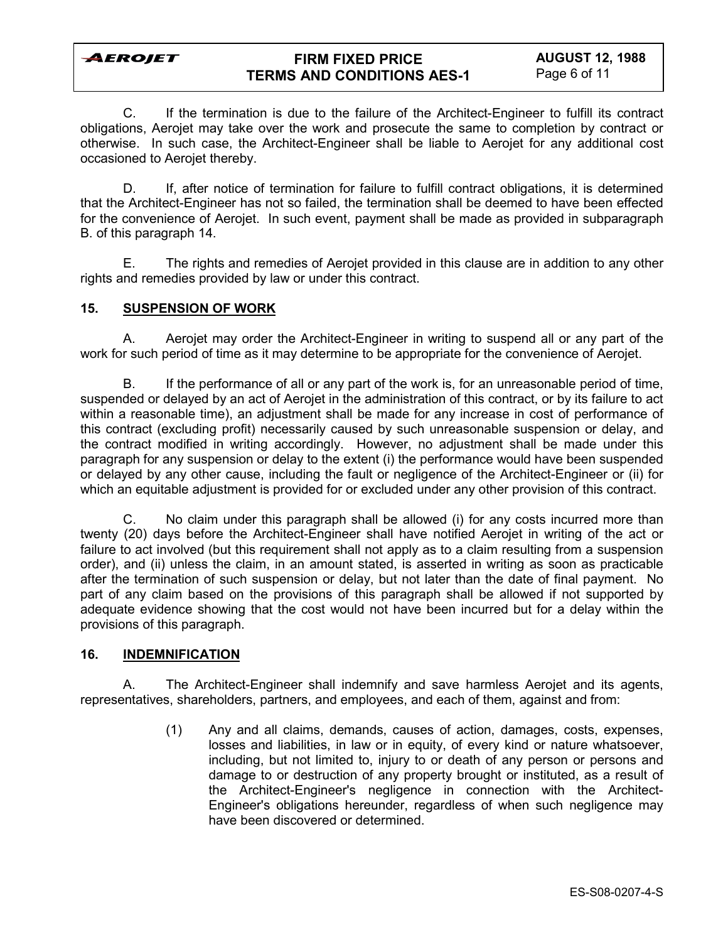## **FIRM FIXED PRICE TERMS AND CONDITIONS AES-1**

C. If the termination is due to the failure of the Architect-Engineer to fulfill its contract obligations, Aerojet may take over the work and prosecute the same to completion by contract or otherwise. In such case, the Architect-Engineer shall be liable to Aerojet for any additional cost occasioned to Aerojet thereby.

D. If, after notice of termination for failure to fulfill contract obligations, it is determined that the Architect-Engineer has not so failed, the termination shall be deemed to have been effected for the convenience of Aerojet. In such event, payment shall be made as provided in subparagraph B. of this paragraph 14.

E. The rights and remedies of Aerojet provided in this clause are in addition to any other rights and remedies provided by law or under this contract.

### **15. SUSPENSION OF WORK**

A. Aerojet may order the Architect-Engineer in writing to suspend all or any part of the work for such period of time as it may determine to be appropriate for the convenience of Aerojet.

B. If the performance of all or any part of the work is, for an unreasonable period of time, suspended or delayed by an act of Aerojet in the administration of this contract, or by its failure to act within a reasonable time), an adjustment shall be made for any increase in cost of performance of this contract (excluding profit) necessarily caused by such unreasonable suspension or delay, and the contract modified in writing accordingly. However, no adjustment shall be made under this paragraph for any suspension or delay to the extent (i) the performance would have been suspended or delayed by any other cause, including the fault or negligence of the Architect-Engineer or (ii) for which an equitable adjustment is provided for or excluded under any other provision of this contract.

C. No claim under this paragraph shall be allowed (i) for any costs incurred more than twenty (20) days before the Architect-Engineer shall have notified Aerojet in writing of the act or failure to act involved (but this requirement shall not apply as to a claim resulting from a suspension order), and (ii) unless the claim, in an amount stated, is asserted in writing as soon as practicable after the termination of such suspension or delay, but not later than the date of final payment. No part of any claim based on the provisions of this paragraph shall be allowed if not supported by adequate evidence showing that the cost would not have been incurred but for a delay within the provisions of this paragraph.

## **16. INDEMNIFICATION**

A. The Architect-Engineer shall indemnify and save harmless Aerojet and its agents, representatives, shareholders, partners, and employees, and each of them, against and from:

> (1) Any and all claims, demands, causes of action, damages, costs, expenses, losses and liabilities, in law or in equity, of every kind or nature whatsoever, including, but not limited to, injury to or death of any person or persons and damage to or destruction of any property brought or instituted, as a result of the Architect-Engineer's negligence in connection with the Architect-Engineer's obligations hereunder, regardless of when such negligence may have been discovered or determined.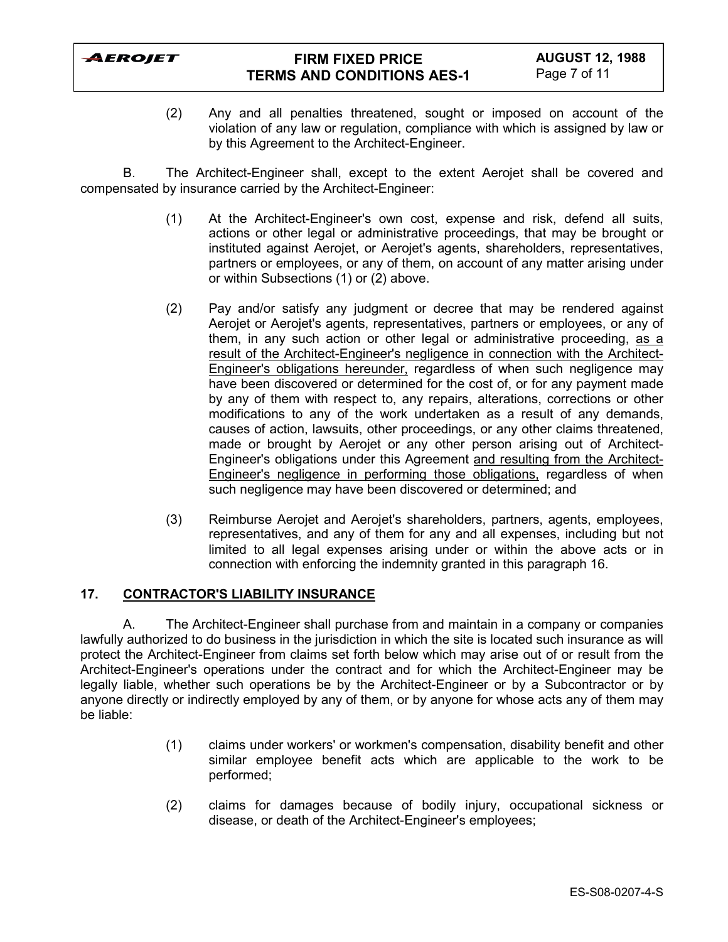

## **FIRM FIXED PRICE TERMS AND CONDITIONS AES-1**

(2) Any and all penalties threatened, sought or imposed on account of the violation of any law or regulation, compliance with which is assigned by law or by this Agreement to the Architect-Engineer.

B. The Architect-Engineer shall, except to the extent Aerojet shall be covered and compensated by insurance carried by the Architect-Engineer:

- (1) At the Architect-Engineer's own cost, expense and risk, defend all suits, actions or other legal or administrative proceedings, that may be brought or instituted against Aerojet, or Aerojet's agents, shareholders, representatives, partners or employees, or any of them, on account of any matter arising under or within Subsections (1) or (2) above.
- (2) Pay and/or satisfy any judgment or decree that may be rendered against Aerojet or Aerojet's agents, representatives, partners or employees, or any of them, in any such action or other legal or administrative proceeding, as a result of the Architect-Engineer's negligence in connection with the Architect-Engineer's obligations hereunder, regardless of when such negligence may have been discovered or determined for the cost of, or for any payment made by any of them with respect to, any repairs, alterations, corrections or other modifications to any of the work undertaken as a result of any demands, causes of action, lawsuits, other proceedings, or any other claims threatened, made or brought by Aerojet or any other person arising out of Architect-Engineer's obligations under this Agreement and resulting from the Architect-Engineer's negligence in performing those obligations, regardless of when such negligence may have been discovered or determined; and
- (3) Reimburse Aerojet and Aerojet's shareholders, partners, agents, employees, representatives, and any of them for any and all expenses, including but not limited to all legal expenses arising under or within the above acts or in connection with enforcing the indemnity granted in this paragraph 16.

## **17. CONTRACTOR'S LIABILITY INSURANCE**

A. The Architect-Engineer shall purchase from and maintain in a company or companies lawfully authorized to do business in the jurisdiction in which the site is located such insurance as will protect the Architect-Engineer from claims set forth below which may arise out of or result from the Architect-Engineer's operations under the contract and for which the Architect-Engineer may be legally liable, whether such operations be by the Architect-Engineer or by a Subcontractor or by anyone directly or indirectly employed by any of them, or by anyone for whose acts any of them may be liable:

- (1) claims under workers' or workmen's compensation, disability benefit and other similar employee benefit acts which are applicable to the work to be performed;
- (2) claims for damages because of bodily injury, occupational sickness or disease, or death of the Architect-Engineer's employees;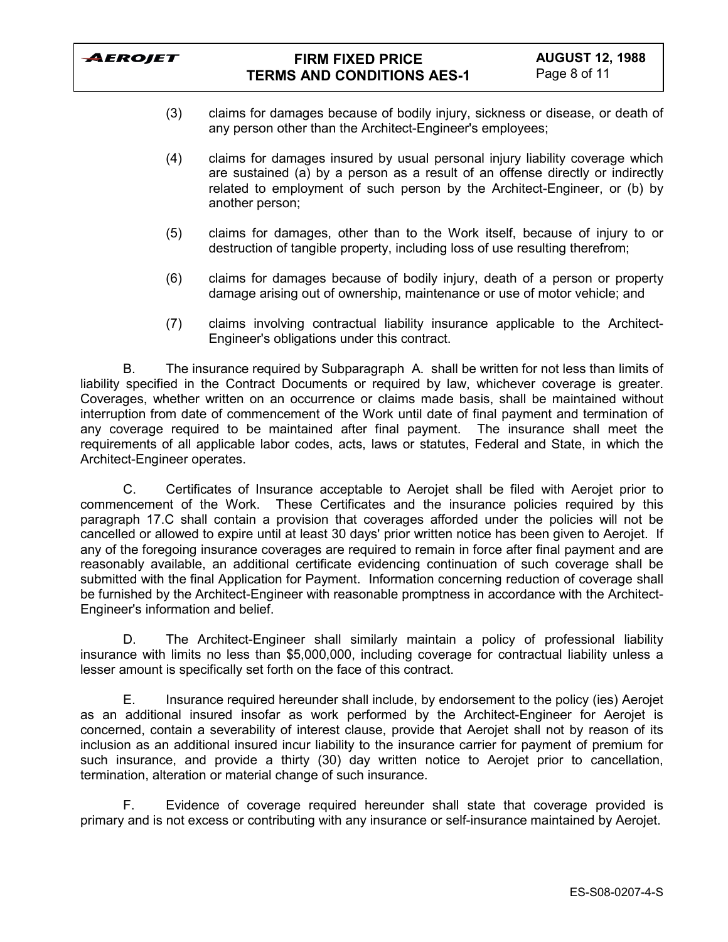

- (3) claims for damages because of bodily injury, sickness or disease, or death of any person other than the Architect-Engineer's employees;
- (4) claims for damages insured by usual personal injury liability coverage which are sustained (a) by a person as a result of an offense directly or indirectly related to employment of such person by the Architect-Engineer, or (b) by another person;
- (5) claims for damages, other than to the Work itself, because of injury to or destruction of tangible property, including loss of use resulting therefrom;
- (6) claims for damages because of bodily injury, death of a person or property damage arising out of ownership, maintenance or use of motor vehicle; and
- (7) claims involving contractual liability insurance applicable to the Architect-Engineer's obligations under this contract.

B. The insurance required by Subparagraph A. shall be written for not less than limits of liability specified in the Contract Documents or required by law, whichever coverage is greater. Coverages, whether written on an occurrence or claims made basis, shall be maintained without interruption from date of commencement of the Work until date of final payment and termination of any coverage required to be maintained after final payment. The insurance shall meet the requirements of all applicable labor codes, acts, laws or statutes, Federal and State, in which the Architect-Engineer operates.

C. Certificates of Insurance acceptable to Aerojet shall be filed with Aerojet prior to commencement of the Work. These Certificates and the insurance policies required by this paragraph 17.C shall contain a provision that coverages afforded under the policies will not be cancelled or allowed to expire until at least 30 days' prior written notice has been given to Aerojet. If any of the foregoing insurance coverages are required to remain in force after final payment and are reasonably available, an additional certificate evidencing continuation of such coverage shall be submitted with the final Application for Payment. Information concerning reduction of coverage shall be furnished by the Architect-Engineer with reasonable promptness in accordance with the Architect-Engineer's information and belief.

D. The Architect-Engineer shall similarly maintain a policy of professional liability insurance with limits no less than \$5,000,000, including coverage for contractual liability unless a lesser amount is specifically set forth on the face of this contract.

E. Insurance required hereunder shall include, by endorsement to the policy (ies) Aerojet as an additional insured insofar as work performed by the Architect-Engineer for Aerojet is concerned, contain a severability of interest clause, provide that Aerojet shall not by reason of its inclusion as an additional insured incur liability to the insurance carrier for payment of premium for such insurance, and provide a thirty (30) day written notice to Aerojet prior to cancellation, termination, alteration or material change of such insurance.

F. Evidence of coverage required hereunder shall state that coverage provided is primary and is not excess or contributing with any insurance or self-insurance maintained by Aerojet.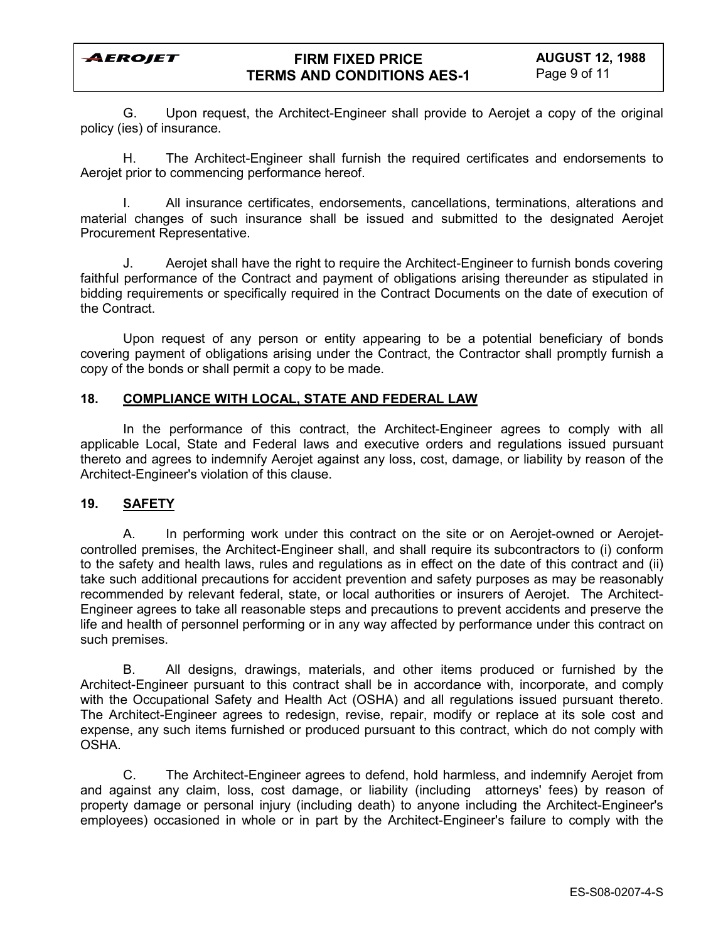

G. Upon request, the Architect-Engineer shall provide to Aerojet a copy of the original policy (ies) of insurance.

H. The Architect-Engineer shall furnish the required certificates and endorsements to Aerojet prior to commencing performance hereof.

I. All insurance certificates, endorsements, cancellations, terminations, alterations and material changes of such insurance shall be issued and submitted to the designated Aerojet Procurement Representative.

J. Aerojet shall have the right to require the Architect-Engineer to furnish bonds covering faithful performance of the Contract and payment of obligations arising thereunder as stipulated in bidding requirements or specifically required in the Contract Documents on the date of execution of the Contract.

Upon request of any person or entity appearing to be a potential beneficiary of bonds covering payment of obligations arising under the Contract, the Contractor shall promptly furnish a copy of the bonds or shall permit a copy to be made.

### **18. COMPLIANCE WITH LOCAL, STATE AND FEDERAL LAW**

In the performance of this contract, the Architect-Engineer agrees to comply with all applicable Local, State and Federal laws and executive orders and regulations issued pursuant thereto and agrees to indemnify Aerojet against any loss, cost, damage, or liability by reason of the Architect-Engineer's violation of this clause.

### **19. SAFETY**

A. In performing work under this contract on the site or on Aerojet-owned or Aerojetcontrolled premises, the Architect-Engineer shall, and shall require its subcontractors to (i) conform to the safety and health laws, rules and regulations as in effect on the date of this contract and (ii) take such additional precautions for accident prevention and safety purposes as may be reasonably recommended by relevant federal, state, or local authorities or insurers of Aerojet. The Architect-Engineer agrees to take all reasonable steps and precautions to prevent accidents and preserve the life and health of personnel performing or in any way affected by performance under this contract on such premises.

B. All designs, drawings, materials, and other items produced or furnished by the Architect-Engineer pursuant to this contract shall be in accordance with, incorporate, and comply with the Occupational Safety and Health Act (OSHA) and all regulations issued pursuant thereto. The Architect-Engineer agrees to redesign, revise, repair, modify or replace at its sole cost and expense, any such items furnished or produced pursuant to this contract, which do not comply with OSHA.

C. The Architect-Engineer agrees to defend, hold harmless, and indemnify Aerojet from and against any claim, loss, cost damage, or liability (including attorneys' fees) by reason of property damage or personal injury (including death) to anyone including the Architect-Engineer's employees) occasioned in whole or in part by the Architect-Engineer's failure to comply with the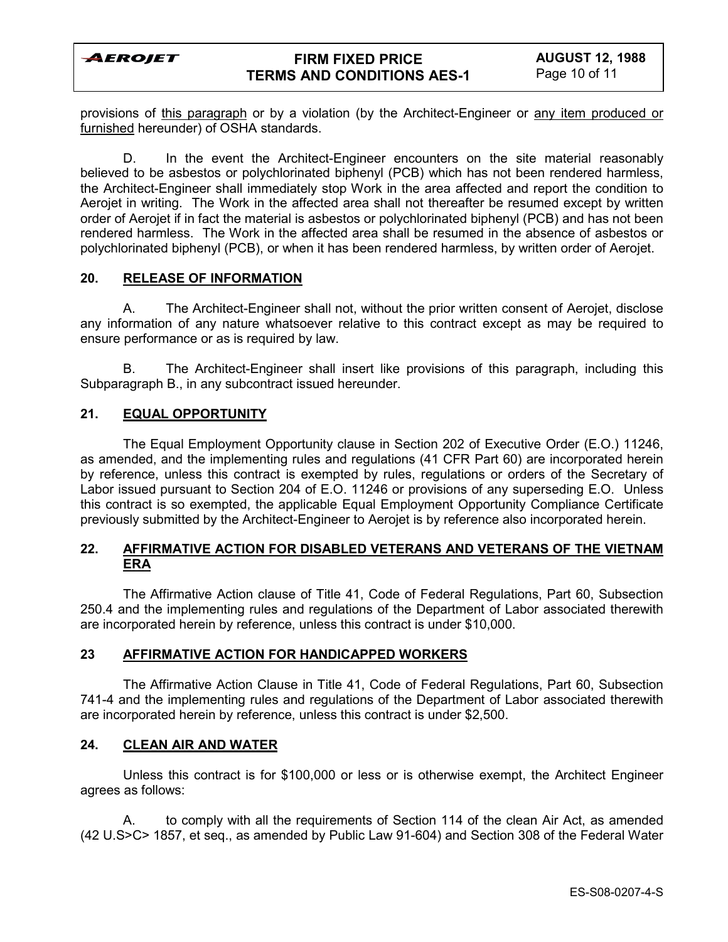

## **FIRM FIXED PRICE TERMS AND CONDITIONS AES-1**

provisions of this paragraph or by a violation (by the Architect-Engineer or any item produced or furnished hereunder) of OSHA standards.

D. In the event the Architect-Engineer encounters on the site material reasonably believed to be asbestos or polychlorinated biphenyl (PCB) which has not been rendered harmless, the Architect-Engineer shall immediately stop Work in the area affected and report the condition to Aerojet in writing. The Work in the affected area shall not thereafter be resumed except by written order of Aerojet if in fact the material is asbestos or polychlorinated biphenyl (PCB) and has not been rendered harmless. The Work in the affected area shall be resumed in the absence of asbestos or polychlorinated biphenyl (PCB), or when it has been rendered harmless, by written order of Aerojet.

### **20. RELEASE OF INFORMATION**

A. The Architect-Engineer shall not, without the prior written consent of Aerojet, disclose any information of any nature whatsoever relative to this contract except as may be required to ensure performance or as is required by law.

B. The Architect-Engineer shall insert like provisions of this paragraph, including this Subparagraph B., in any subcontract issued hereunder.

### **21. EQUAL OPPORTUNITY**

The Equal Employment Opportunity clause in Section 202 of Executive Order (E.O.) 11246, as amended, and the implementing rules and regulations (41 CFR Part 60) are incorporated herein by reference, unless this contract is exempted by rules, regulations or orders of the Secretary of Labor issued pursuant to Section 204 of E.O. 11246 or provisions of any superseding E.O. Unless this contract is so exempted, the applicable Equal Employment Opportunity Compliance Certificate previously submitted by the Architect-Engineer to Aerojet is by reference also incorporated herein.

## **22. AFFIRMATIVE ACTION FOR DISABLED VETERANS AND VETERANS OF THE VIETNAM ERA**

The Affirmative Action clause of Title 41, Code of Federal Regulations, Part 60, Subsection 250.4 and the implementing rules and regulations of the Department of Labor associated therewith are incorporated herein by reference, unless this contract is under \$10,000.

#### **23 AFFIRMATIVE ACTION FOR HANDICAPPED WORKERS**

The Affirmative Action Clause in Title 41, Code of Federal Regulations, Part 60, Subsection 741-4 and the implementing rules and regulations of the Department of Labor associated therewith are incorporated herein by reference, unless this contract is under \$2,500.

#### **24. CLEAN AIR AND WATER**

Unless this contract is for \$100,000 or less or is otherwise exempt, the Architect Engineer agrees as follows:

A. to comply with all the requirements of Section 114 of the clean Air Act, as amended (42 U.S>C> 1857, et seq., as amended by Public Law 91-604) and Section 308 of the Federal Water